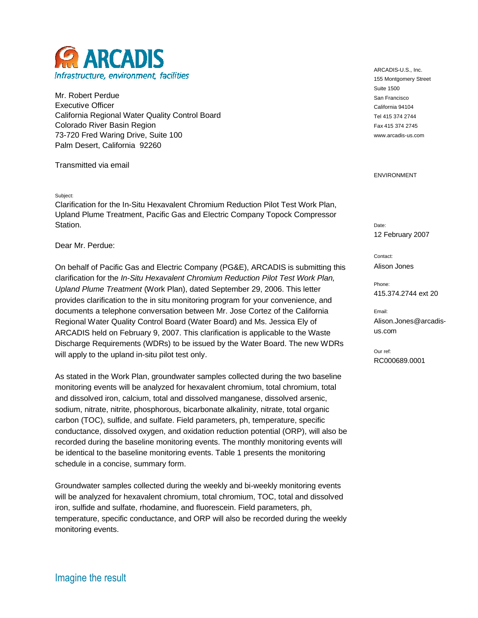

Mr. Robert Perdue Executive Officer California Regional Water Quality Control Board Colorado River Basin Region 73-720 Fred Waring Drive, Suite 100 Palm Desert, California 92260

Transmitted via email

Subject:

Clarification for the In-Situ Hexavalent Chromium Reduction Pilot Test Work Plan, Upland Plume Treatment, Pacific Gas and Electric Company Topock Compressor Station.

Dear Mr. Perdue:

On behalf of Pacific Gas and Electric Company (PG&E), ARCADIS is submitting this clarification for the *In-Situ Hexavalent Chromium Reduction Pilot Test Work Plan, Upland Plume Treatment* (Work Plan), dated September 29, 2006. This letter provides clarification to the in situ monitoring program for your convenience, and documents a telephone conversation between Mr. Jose Cortez of the California Regional Water Quality Control Board (Water Board) and Ms. Jessica Ely of ARCADIS held on February 9, 2007. This clarification is applicable to the Waste Discharge Requirements (WDRs) to be issued by the Water Board. The new WDRs will apply to the upland in-situ pilot test only.

As stated in the Work Plan, groundwater samples collected during the two baseline monitoring events will be analyzed for hexavalent chromium, total chromium, total and dissolved iron, calcium, total and dissolved manganese, dissolved arsenic, sodium, nitrate, nitrite, phosphorous, bicarbonate alkalinity, nitrate, total organic carbon (TOC), sulfide, and sulfate. Field parameters, ph, temperature, specific conductance, dissolved oxygen, and oxidation reduction potential (ORP), will also be recorded during the baseline monitoring events. The monthly monitoring events will be identical to the baseline monitoring events. Table 1 presents the monitoring schedule in a concise, summary form.

Groundwater samples collected during the weekly and bi-weekly monitoring events will be analyzed for hexavalent chromium, total chromium, TOC, total and dissolved iron, sulfide and sulfate, rhodamine, and fluorescein. Field parameters, ph, temperature, specific conductance, and ORP will also be recorded during the weekly monitoring events.

ARCADIS-U.S., Inc. 155 Montgomery Street Suite 1500 San Francisco California 94104 Tel 415 374 2744 Fax 415 374 2745 www.arcadis-us.com

ENVIRONMENT

Date: 12 February 2007

Contact: Alison Jones

Phone: 415.374.2744 ext 20

Email: Alison.Jones@arcadisus.com

Our ref: RC000689.0001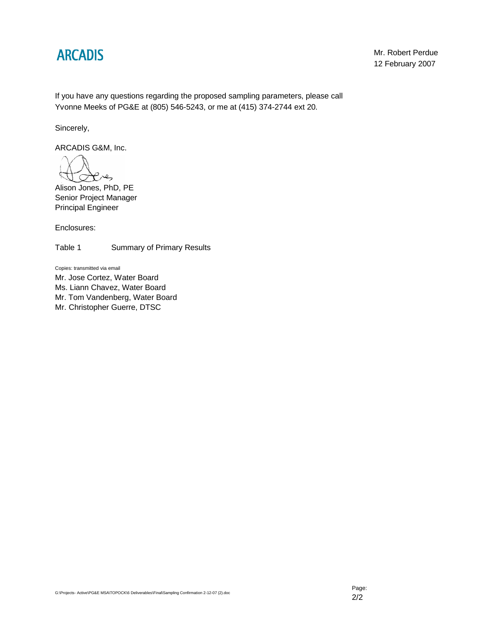## **ARCADIS**

Mr. Robert Perdue 12 February 2007

If you have any questions regarding the proposed sampling parameters, please call Yvonne Meeks of PG&E at (805) 546-5243, or me at (415) 374-2744 ext 20.

Sincerely,

ARCADIS G&M, Inc.

 $\mathcal{C}$ es

Alison Jones, PhD, PE Senior Project Manager Principal Engineer

Enclosures:

Table 1 Summary of Primary Results

Copies: transmitted via email Mr. Jose Cortez, Water Board Ms. Liann Chavez, Water Board Mr. Tom Vandenberg, Water Board Mr. Christopher Guerre, DTSC